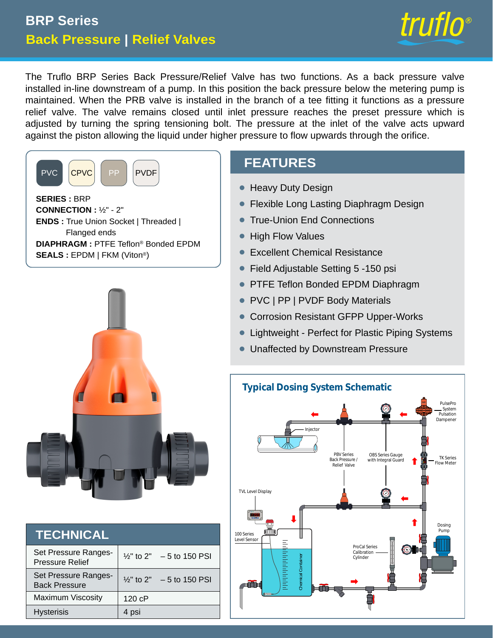# **Back Pressure | Relief Valves BRP Series**



The Truflo BRP Series Back Pressure/Relief Valve has two functions. As a back pressure valve installed in-line downstream of a pump. In this position the back pressure below the metering pump is maintained. When the PRB valve is installed in the branch of a tee fitting it functions as a pressure relief valve. The valve remains closed until inlet pressure reaches the preset pressure which is adjusted by turning the spring tensioning bolt. The pressure at the inlet of the valve acts upward against the piston allowing the liquid under higher pressure to flow upwards through the orifice.





| <b>TECHNICAL</b>                               |        |                                      |
|------------------------------------------------|--------|--------------------------------------|
| Set Pressure Ranges-<br><b>Pressure Relief</b> |        | $\frac{1}{2}$ " to 2" - 5 to 150 PSI |
| Set Pressure Ranges-<br><b>Back Pressure</b>   |        | $\frac{1}{2}$ " to 2" – 5 to 150 PSI |
| <b>Maximum Viscosity</b>                       | 120 cP |                                      |
| <b>Hysterisis</b>                              | 4 psi  |                                      |

# **FEATURES**

- **Heavy Duty Design**
- Flexible Long Lasting Diaphragm Design •
- True-Union End Connections •
- High Flow Values •
- Excellent Chemical Resistance •
- Field Adjustable Setting 5 -150 psi  $\bullet$
- PTFE Teflon Bonded EPDM Diaphragm  $\bullet$
- PVC | PP | PVDF Body Materials •
- Corrosion Resistant GFPP Upper-Works •
- Lightweight Perfect for Plastic Piping Systems •
- **Unaffected by Downstream Pressure**